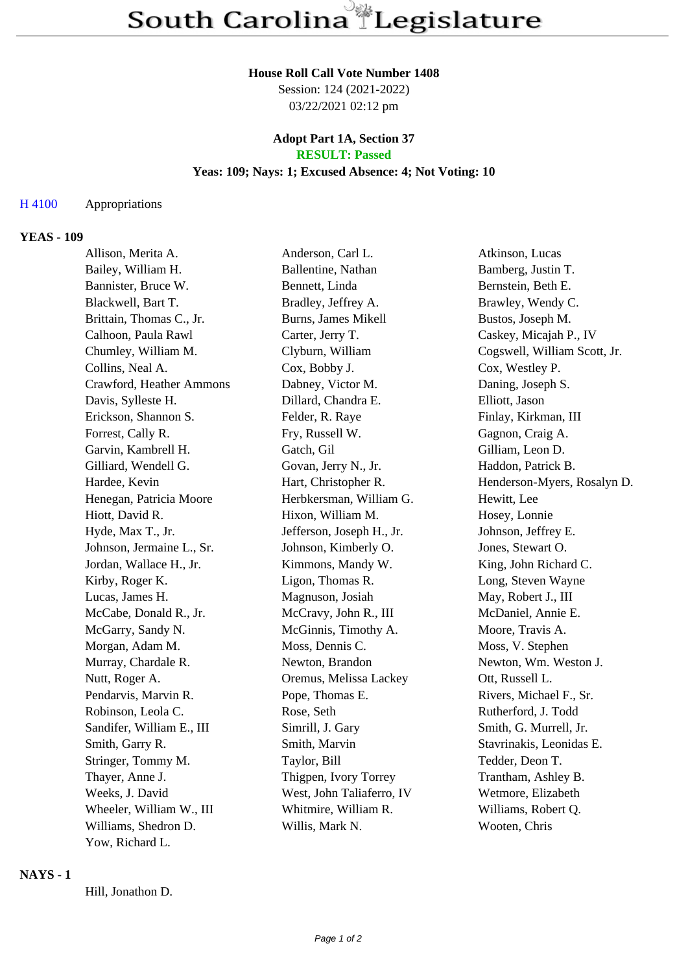#### **House Roll Call Vote Number 1408**

Session: 124 (2021-2022) 03/22/2021 02:12 pm

## **Adopt Part 1A, Section 37 RESULT: Passed**

# **Yeas: 109; Nays: 1; Excused Absence: 4; Not Voting: 10**

## H 4100 Appropriations

### **YEAS - 109**

| Allison, Merita A.        | Anderson, Carl L.         | Atkinson, Lucas              |
|---------------------------|---------------------------|------------------------------|
| Bailey, William H.        | Ballentine, Nathan        | Bamberg, Justin T.           |
| Bannister, Bruce W.       | Bennett, Linda            | Bernstein, Beth E.           |
| Blackwell, Bart T.        | Bradley, Jeffrey A.       | Brawley, Wendy C.            |
| Brittain, Thomas C., Jr.  | Burns, James Mikell       | Bustos, Joseph M.            |
| Calhoon, Paula Rawl       | Carter, Jerry T.          | Caskey, Micajah P., IV       |
| Chumley, William M.       | Clyburn, William          | Cogswell, William Scott, Jr. |
| Collins, Neal A.          | Cox, Bobby J.             | Cox, Westley P.              |
| Crawford, Heather Ammons  | Dabney, Victor M.         | Daning, Joseph S.            |
| Davis, Sylleste H.        | Dillard, Chandra E.       | Elliott, Jason               |
| Erickson, Shannon S.      | Felder, R. Raye           | Finlay, Kirkman, III         |
| Forrest, Cally R.         | Fry, Russell W.           | Gagnon, Craig A.             |
| Garvin, Kambrell H.       | Gatch, Gil                | Gilliam, Leon D.             |
| Gilliard, Wendell G.      | Govan, Jerry N., Jr.      | Haddon, Patrick B.           |
| Hardee, Kevin             | Hart, Christopher R.      | Henderson-Myers, Rosalyn D.  |
| Henegan, Patricia Moore   | Herbkersman, William G.   | Hewitt, Lee                  |
| Hiott, David R.           | Hixon, William M.         | Hosey, Lonnie                |
| Hyde, Max T., Jr.         | Jefferson, Joseph H., Jr. | Johnson, Jeffrey E.          |
| Johnson, Jermaine L., Sr. | Johnson, Kimberly O.      | Jones, Stewart O.            |
| Jordan, Wallace H., Jr.   | Kimmons, Mandy W.         | King, John Richard C.        |
| Kirby, Roger K.           | Ligon, Thomas R.          | Long, Steven Wayne           |
| Lucas, James H.           | Magnuson, Josiah          | May, Robert J., III          |
| McCabe, Donald R., Jr.    | McCravy, John R., III     | McDaniel, Annie E.           |
| McGarry, Sandy N.         | McGinnis, Timothy A.      | Moore, Travis A.             |
| Morgan, Adam M.           | Moss, Dennis C.           | Moss, V. Stephen             |
| Murray, Chardale R.       | Newton, Brandon           | Newton, Wm. Weston J.        |
| Nutt, Roger A.            | Oremus, Melissa Lackey    | Ott, Russell L.              |
| Pendarvis, Marvin R.      | Pope, Thomas E.           | Rivers, Michael F., Sr.      |
| Robinson, Leola C.        | Rose, Seth                | Rutherford, J. Todd          |
| Sandifer, William E., III | Simrill, J. Gary          | Smith, G. Murrell, Jr.       |
| Smith, Garry R.           | Smith, Marvin             | Stavrinakis, Leonidas E.     |
| Stringer, Tommy M.        | Taylor, Bill              | Tedder, Deon T.              |
| Thayer, Anne J.           | Thigpen, Ivory Torrey     | Trantham, Ashley B.          |
| Weeks, J. David           | West, John Taliaferro, IV | Wetmore, Elizabeth           |
| Wheeler, William W., III  | Whitmire, William R.      | Williams, Robert Q.          |
| Williams, Shedron D.      | Willis, Mark N.           | Wooten, Chris                |
| Yow, Richard L.           |                           |                              |

#### **NAYS - 1**

Hill, Jonathon D.